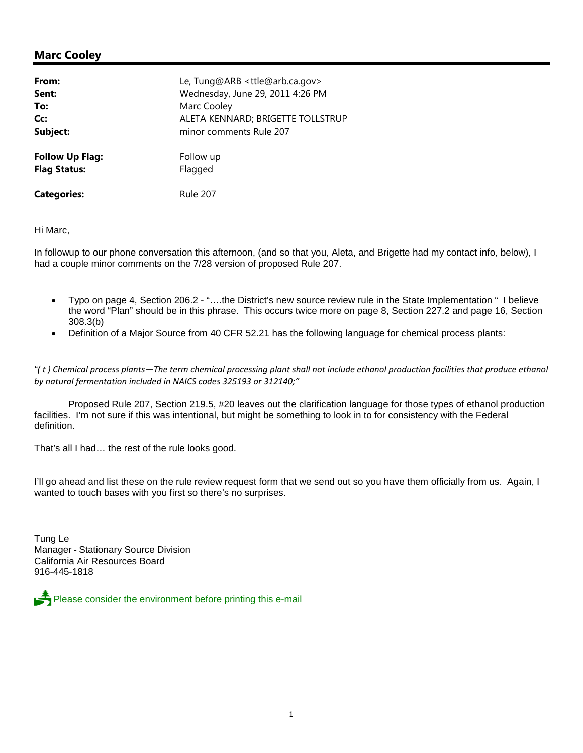## **Marc Cooley**

| From:                  | Le, Tung@ARB <ttle@arb.ca.gov></ttle@arb.ca.gov> |
|------------------------|--------------------------------------------------|
| Sent:                  | Wednesday, June 29, 2011 4:26 PM                 |
| To:                    | Marc Cooley                                      |
| Cc:                    | ALETA KENNARD; BRIGETTE TOLLSTRUP                |
| Subject:               | minor comments Rule 207                          |
| <b>Follow Up Flag:</b> | Follow up                                        |
| <b>Flag Status:</b>    | Flagged                                          |
| <b>Categories:</b>     | <b>Rule 207</b>                                  |

Hi Marc,

In followup to our phone conversation this afternoon, (and so that you, Aleta, and Brigette had my contact info, below), I had a couple minor comments on the 7/28 version of proposed Rule 207.

- Typo on page 4, Section 206.2 "….the District's new source review rule in the State Implementation " I believe the word "Plan" should be in this phrase. This occurs twice more on page 8, Section 227.2 and page 16, Section 308.3(b)
- Definition of a Major Source from 40 CFR 52.21 has the following language for chemical process plants:

*"( t ) Chemical process plants—The term chemical processing plant shall not include ethanol production facilities that produce ethanol by natural fermentation included in NAICS codes 325193 or 312140;"*

Proposed Rule 207, Section 219.5, #20 leaves out the clarification language for those types of ethanol production facilities. I'm not sure if this was intentional, but might be something to look in to for consistency with the Federal definition.

That's all I had… the rest of the rule looks good.

I'll go ahead and list these on the rule review request form that we send out so you have them officially from us. Again, I wanted to touch bases with you first so there's no surprises.

Tung Le Manager - Stationary Source Division California Air Resources Board 916-445-1818

Please consider the environment before printing this e-mail